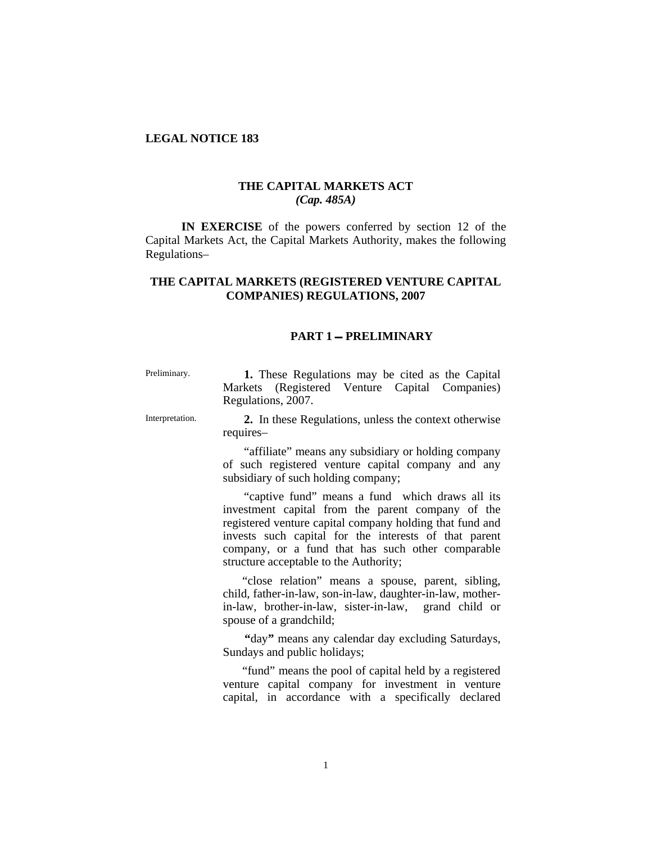#### **LEGAL NOTICE 183**

#### **THE CAPITAL MARKETS ACT**  *(Cap. 485A)*

**IN EXERCISE** of the powers conferred by section 12 of the Capital Markets Act, the Capital Markets Authority, makes the following Regulations–

## **THE CAPITAL MARKETS (REGISTERED VENTURE CAPITAL COMPANIES) REGULATIONS, 2007**

### **PART 1 PRELIMINARY**

Preliminary. **1.** These Regulations may be cited as the Capital Markets (Registered Venture Capital Companies) Regulations, 2007.

Interpretation. **2.** In these Regulations, unless the context otherwise requires–

> "affiliate" means any subsidiary or holding company of such registered venture capital company and any subsidiary of such holding company;

> "captive fund" means a fund which draws all its investment capital from the parent company of the registered venture capital company holding that fund and invests such capital for the interests of that parent company, or a fund that has such other comparable structure acceptable to the Authority;

> "close relation" means a spouse, parent, sibling, child, father-in-law, son-in-law, daughter-in-law, motherin-law, brother-in-law, sister-in-law, grand child or spouse of a grandchild;

> **"**day**"** means any calendar day excluding Saturdays, Sundays and public holidays;

> "fund" means the pool of capital held by a registered venture capital company for investment in venture capital, in accordance with a specifically declared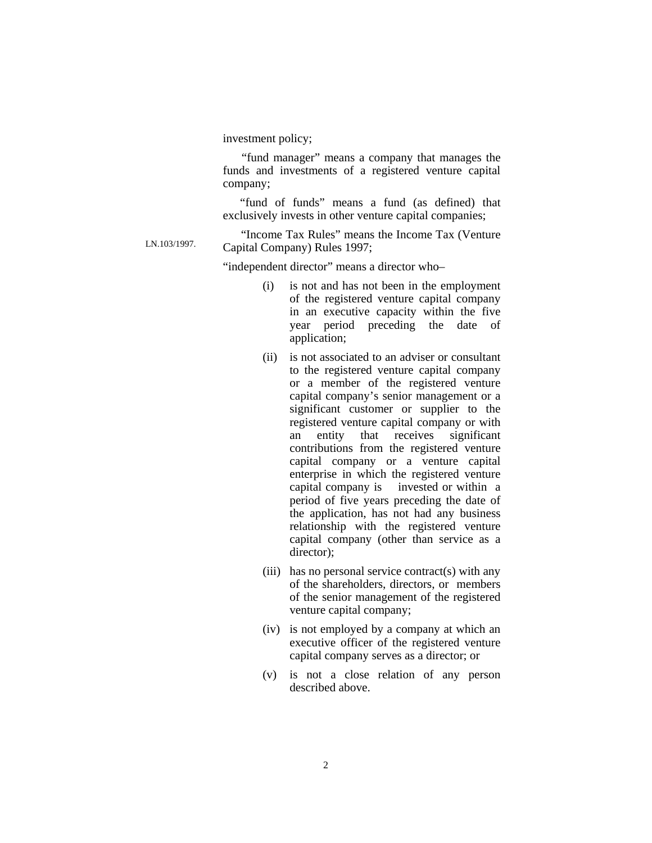investment policy;

 "fund manager" means a company that manages the funds and investments of a registered venture capital company;

 "fund of funds" means a fund (as defined) that exclusively invests in other venture capital companies;

<sup>"</sup>Income Tax Rules" means the Income Tax (Venture<br>
Consisted Generalism Distant 2007. Capital Company) Rules 1997;

"independent director" means a director who–

- (i) is not and has not been in the employment of the registered venture capital company in an executive capacity within the five year period preceding the date of application;
- (ii) is not associated to an adviser or consultant to the registered venture capital company or a member of the registered venture capital company's senior management or a significant customer or supplier to the registered venture capital company or with an entity that receives significant contributions from the registered venture capital company or a venture capital enterprise in which the registered venture capital company is invested or within a period of five years preceding the date of the application, has not had any business relationship with the registered venture capital company (other than service as a director);
- (iii) has no personal service contract(s) with any of the shareholders, directors, or members of the senior management of the registered venture capital company;
- (iv) is not employed by a company at which an executive officer of the registered venture capital company serves as a director; or
- (v) is not a close relation of any person described above.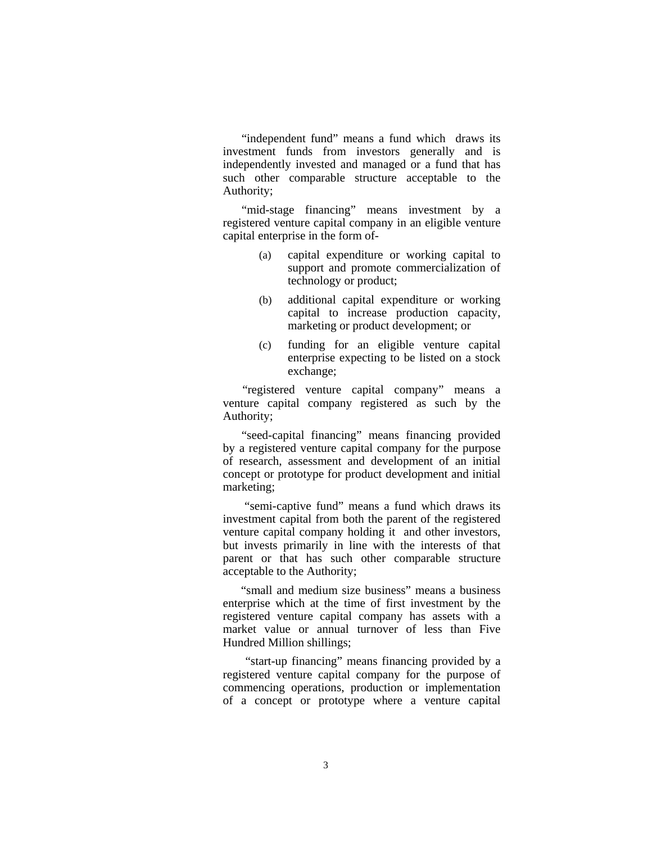"independent fund" means a fund which draws its investment funds from investors generally and is independently invested and managed or a fund that has such other comparable structure acceptable to the Authority;

"mid-stage financing" means investment by a registered venture capital company in an eligible venture capital enterprise in the form of-

- (a) capital expenditure or working capital to support and promote commercialization of technology or product;
- (b) additional capital expenditure or working capital to increase production capacity, marketing or product development; or
- (c) funding for an eligible venture capital enterprise expecting to be listed on a stock exchange;

 "registered venture capital company" means a venture capital company registered as such by the Authority;

 "seed-capital financing" means financing provided by a registered venture capital company for the purpose of research, assessment and development of an initial concept or prototype for product development and initial marketing;

 "semi-captive fund" means a fund which draws its investment capital from both the parent of the registered venture capital company holding it and other investors, but invests primarily in line with the interests of that parent or that has such other comparable structure acceptable to the Authority;

 "small and medium size business" means a business enterprise which at the time of first investment by the registered venture capital company has assets with a market value or annual turnover of less than Five Hundred Million shillings;

 "start-up financing" means financing provided by a registered venture capital company for the purpose of commencing operations, production or implementation of a concept or prototype where a venture capital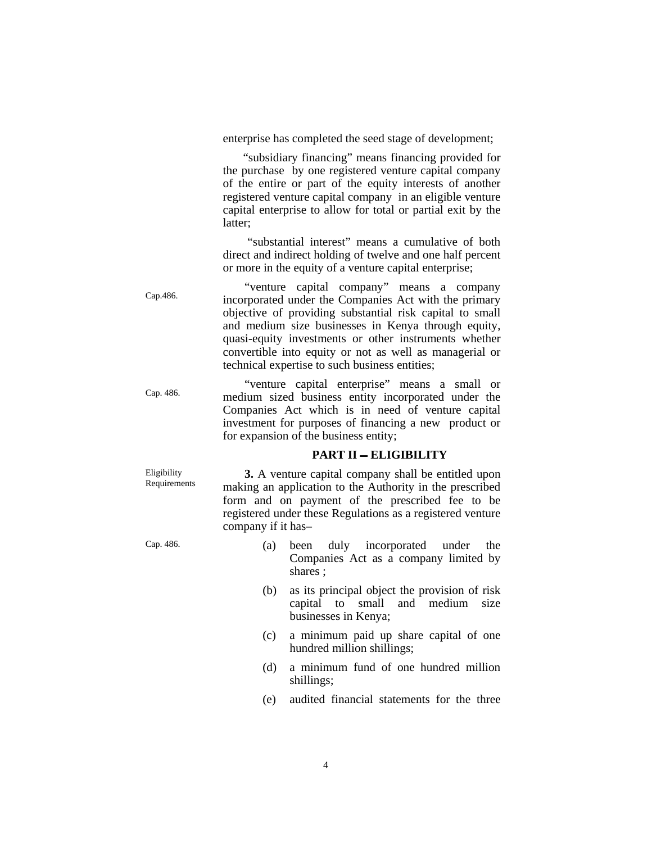enterprise has completed the seed stage of development;

 "subsidiary financing" means financing provided for the purchase by one registered venture capital company of the entire or part of the equity interests of another registered venture capital company in an eligible venture capital enterprise to allow for total or partial exit by the latter;

 "substantial interest" means a cumulative of both direct and indirect holding of twelve and one half percent or more in the equity of a venture capital enterprise;

"venture capital company" means a company<br>Cap. 486. The incorporated under the Companies Act with the numeru incorporated under the Companies Act with the primary objective of providing substantial risk capital to small and medium size businesses in Kenya through equity, quasi-equity investments or other instruments whether convertible into equity or not as well as managerial or technical expertise to such business entities;

"venture capital enterprise" means a small or<br>Cap. 486. "The medium sized business entity incorporated under the medium sized business entity incorporated under the Companies Act which is in need of venture capital investment for purposes of financing a new product or for expansion of the business entity;

#### **PART II – ELIGIBILITY**

**3.** A venture capital company shall be entitled upon making an application to the Authority in the prescribed form and on payment of the prescribed fee to be registered under these Regulations as a registered venture company if it has–

- Cap. 486. (a) been duly incorporated under the Companies Act as a company limited by shares ;
	- (b) as its principal object the provision of risk capital to small and medium size businesses in Kenya;
	- (c) a minimum paid up share capital of one hundred million shillings;
	- (d) a minimum fund of one hundred million shillings;
	- (e) audited financial statements for the three

Eligibility Requirements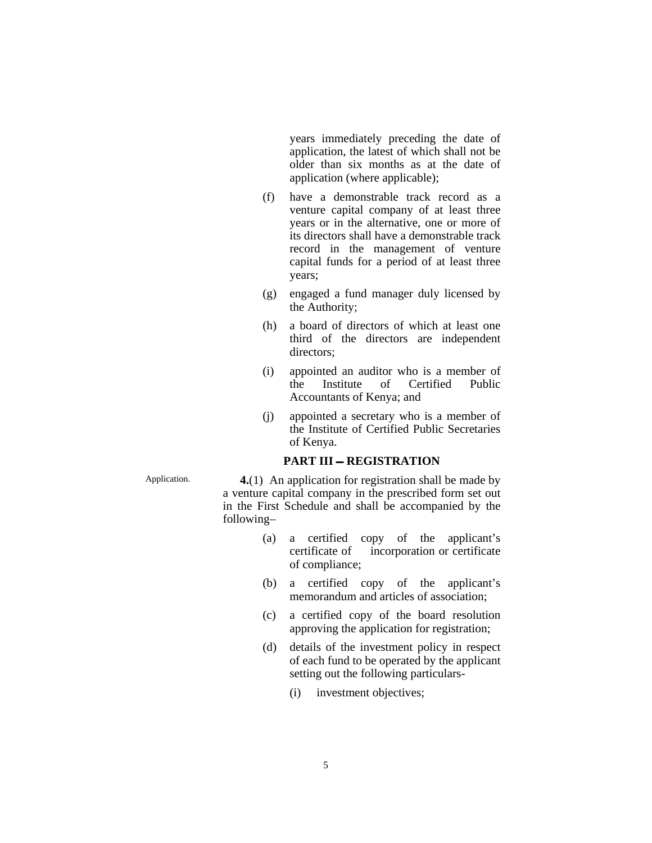years immediately preceding the date of application, the latest of which shall not be older than six months as at the date of application (where applicable);

- (f) have a demonstrable track record as a venture capital company of at least three years or in the alternative, one or more of its directors shall have a demonstrable track record in the management of venture capital funds for a period of at least three years;
- (g) engaged a fund manager duly licensed by the Authority;
- (h) a board of directors of which at least one third of the directors are independent directors;
- (i) appointed an auditor who is a member of the Institute of Certified Public Accountants of Kenya; and
- (j) appointed a secretary who is a member of the Institute of Certified Public Secretaries of Kenya.

#### **PART III - REGISTRATION**

Application. **4.**(1) An application for registration shall be made by a venture capital company in the prescribed form set out in the First Schedule and shall be accompanied by the following–

- (a) a certified copy of the applicant's certificate of incorporation or certificate of compliance;
- (b) a certified copy of the applicant's memorandum and articles of association;
- (c) a certified copy of the board resolution approving the application for registration;
- (d) details of the investment policy in respect of each fund to be operated by the applicant setting out the following particulars-
	- (i) investment objectives;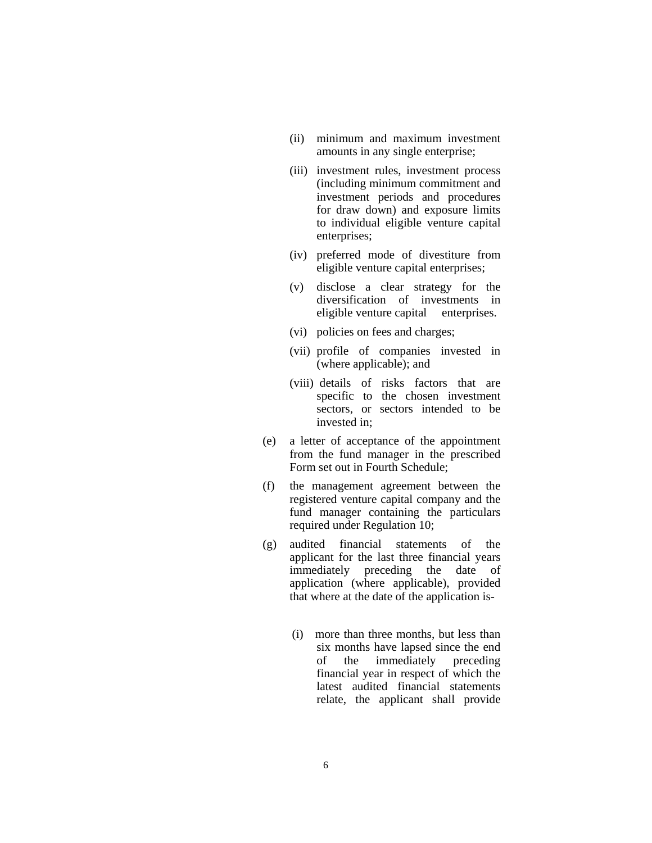- (ii) minimum and maximum investment amounts in any single enterprise;
- (iii) investment rules, investment process (including minimum commitment and investment periods and procedures for draw down) and exposure limits to individual eligible venture capital enterprises;
- (iv) preferred mode of divestiture from eligible venture capital enterprises;
- (v) disclose a clear strategy for the diversification of investments in eligible venture capital enterprises.
- (vi) policies on fees and charges;
- (vii) profile of companies invested in (where applicable); and
- (viii) details of risks factors that are specific to the chosen investment sectors, or sectors intended to be invested in;
- (e) a letter of acceptance of the appointment from the fund manager in the prescribed Form set out in Fourth Schedule;
- (f) the management agreement between the registered venture capital company and the fund manager containing the particulars required under Regulation 10;
- (g) audited financial statements of the applicant for the last three financial years immediately preceding the date of application (where applicable), provided that where at the date of the application is-
	- (i) more than three months, but less than six months have lapsed since the end of the immediately preceding financial year in respect of which the latest audited financial statements relate, the applicant shall provide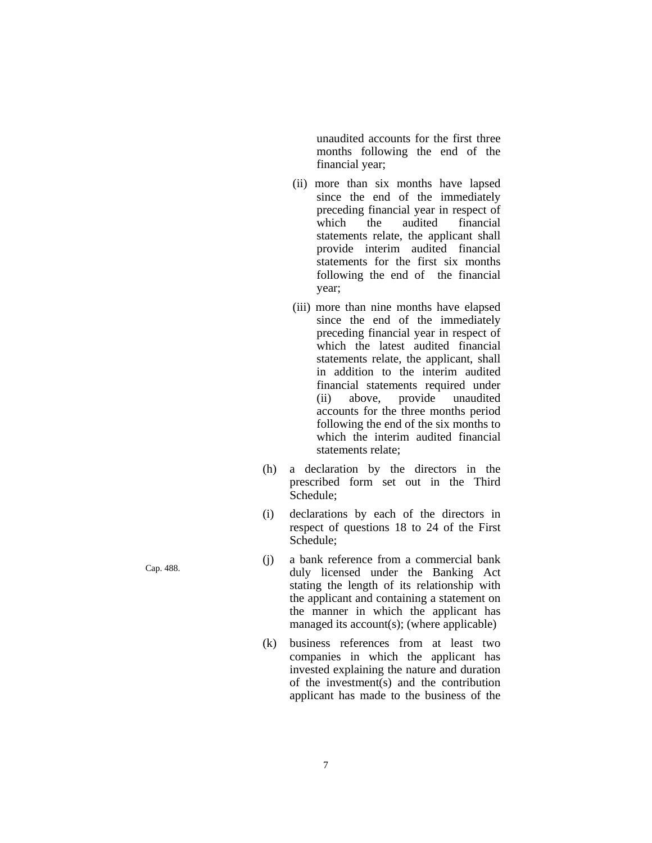unaudited accounts for the first three months following the end of the financial year;

- (ii) more than six months have lapsed since the end of the immediately preceding financial year in respect of which the audited financial statements relate, the applicant shall provide interim audited financial statements for the first six months following the end of the financial year;
- (iii) more than nine months have elapsed since the end of the immediately preceding financial year in respect of which the latest audited financial statements relate, the applicant, shall in addition to the interim audited financial statements required under (ii) above, provide unaudited accounts for the three months period following the end of the six months to which the interim audited financial statements relate;
- (h) a declaration by the directors in the prescribed form set out in the Third Schedule;
- (i) declarations by each of the directors in respect of questions 18 to 24 of the First Schedule;
- Cap. 488. (j) a bank reference from a commercial bank duly licensed under the Banking Act stating the length of its relationship with the applicant and containing a statement on the manner in which the applicant has managed its account(s); (where applicable)
	- (k) business references from at least two companies in which the applicant has invested explaining the nature and duration of the investment(s) and the contribution applicant has made to the business of the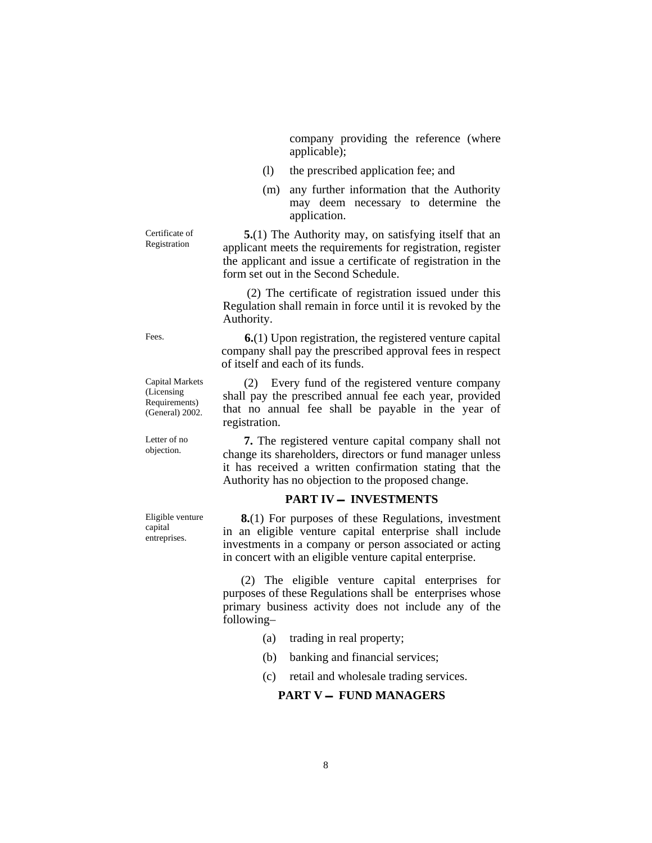company providing the reference (where applicable);

- (l) the prescribed application fee; and
- (m) any further information that the Authority may deem necessary to determine the application.

Registration **5.**(1) The Authority may, on satisfying itself that an applicant meets the requirements for registration, register the applicant and issue a certificate of registration in the form set out in the Second Schedule.

> (2) The certificate of registration issued under this Regulation shall remain in force until it is revoked by the Authority.

Fees. **6.**(1) Upon registration, the registered venture capital company shall pay the prescribed approval fees in respect of itself and each of its funds.

> (2) Every fund of the registered venture company shall pay the prescribed annual fee each year, provided that no annual fee shall be payable in the year of registration.

Letter of no<br> **7.** The registered venture capital company shall not<br>
objection.<br>
change its shareholders directors or fund manager unless change its shareholders, directors or fund manager unless it has received a written confirmation stating that the Authority has no objection to the proposed change.

#### **PART IV - INVESTMENTS**

 **8.**(1) For purposes of these Regulations, investment in an eligible venture capital enterprise shall include investments in a company or person associated or acting in concert with an eligible venture capital enterprise.

 (2) The eligible venture capital enterprises for purposes of these Regulations shall be enterprises whose primary business activity does not include any of the following–

- (a) trading in real property;
- (b) banking and financial services;
- (c) retail and wholesale trading services.

## **PART V - FUND MANAGERS**

Certificate of

Capital Markets (Licensing Requirements) (General) 2002.

Letter of no

Eligible venture capital entreprises.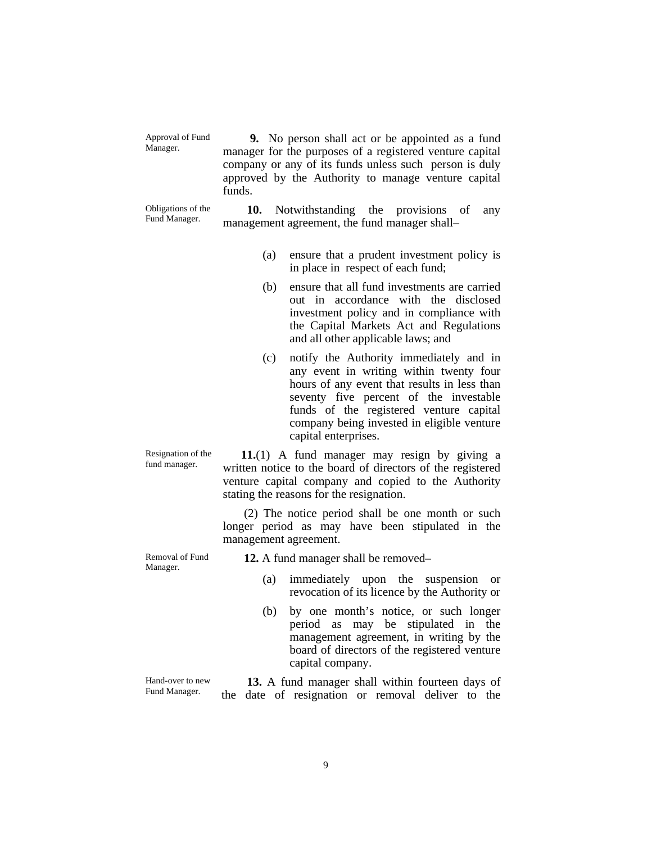Approval of Fund Approval of Fund **9.** No person shall act or be appointed as a fund<br>Manager. manager for the nurmoses of a registered venture conital manager for the purposes of a registered venture capital company or any of its funds unless such person is duly approved by the Authority to manage venture capital funds.

Obligations of the

Obligations of the **10.** Notwithstanding the provisions of any Fund Manager. management arrangement the fund management and Management management agreement, the fund manager shall–

- (a) ensure that a prudent investment policy is in place in respect of each fund;
- (b) ensure that all fund investments are carried out in accordance with the disclosed investment policy and in compliance with the Capital Markets Act and Regulations and all other applicable laws; and
- (c) notify the Authority immediately and in any event in writing within twenty four hours of any event that results in less than seventy five percent of the investable funds of the registered venture capital company being invested in eligible venture capital enterprises.

Resignation of the Resignation of the  $\frac{11}{11}$  A fund manager may resign by giving a fund manager. written notice to the board of directors of the registered venture capital company and copied to the Authority stating the reasons for the resignation.

> (2) The notice period shall be one month or such longer period as may have been stipulated in the management agreement.

Removal of Fund

Removal of Fund **12.** A fund manager shall be removed–<br>Manager.

- (a) immediately upon the suspension or revocation of its licence by the Authority or
- (b) by one month's notice, or such longer period as may be stipulated in the management agreement, in writing by the board of directors of the registered venture capital company.

Hand-over to new Fund Manager. **13.** A fund manager shall within fourteen days of the date of resignation or removal deliver to the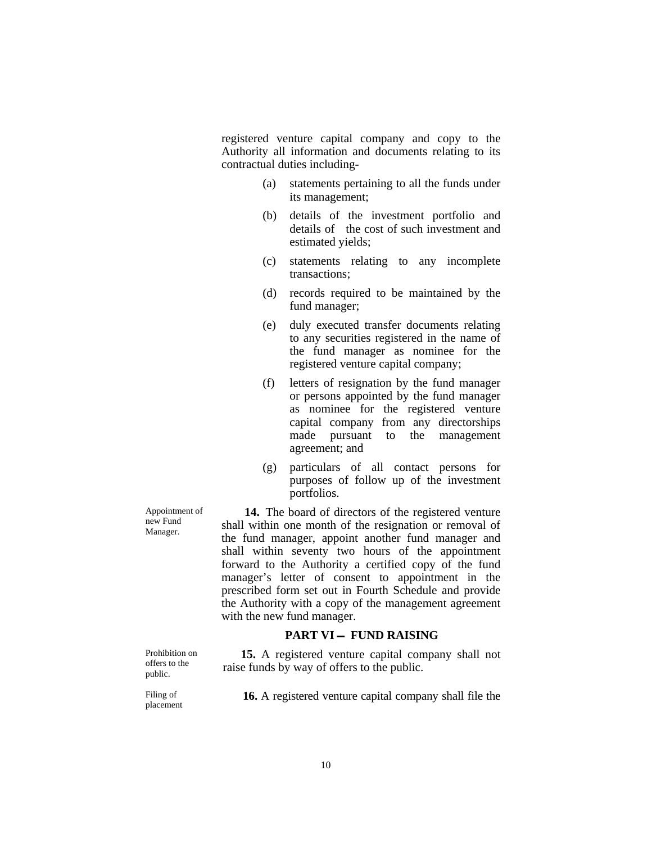registered venture capital company and copy to the Authority all information and documents relating to its contractual duties including-

- (a) statements pertaining to all the funds under its management;
- (b) details of the investment portfolio and details of the cost of such investment and estimated yields;
- (c) statements relating to any incomplete transactions;
- (d) records required to be maintained by the fund manager;
- (e) duly executed transfer documents relating to any securities registered in the name of the fund manager as nominee for the registered venture capital company;
- (f) letters of resignation by the fund manager or persons appointed by the fund manager as nominee for the registered venture capital company from any directorships made pursuant to the management agreement; and
- (g) particulars of all contact persons for purposes of follow up of the investment portfolios.

**14.** The board of directors of the registered venture shall within one month of the resignation or removal of the fund manager, appoint another fund manager and shall within seventy two hours of the appointment forward to the Authority a certified copy of the fund manager's letter of consent to appointment in the prescribed form set out in Fourth Schedule and provide the Authority with a copy of the management agreement with the new fund manager.

#### **PART VI - FUND RAISING**

 **15.** A registered venture capital company shall not raise funds by way of offers to the public.

offers to the public.

Prohibition on

Appointment of new Fund Manager.

Filing of

Filing of **16.** A registered venture capital company shall file the placement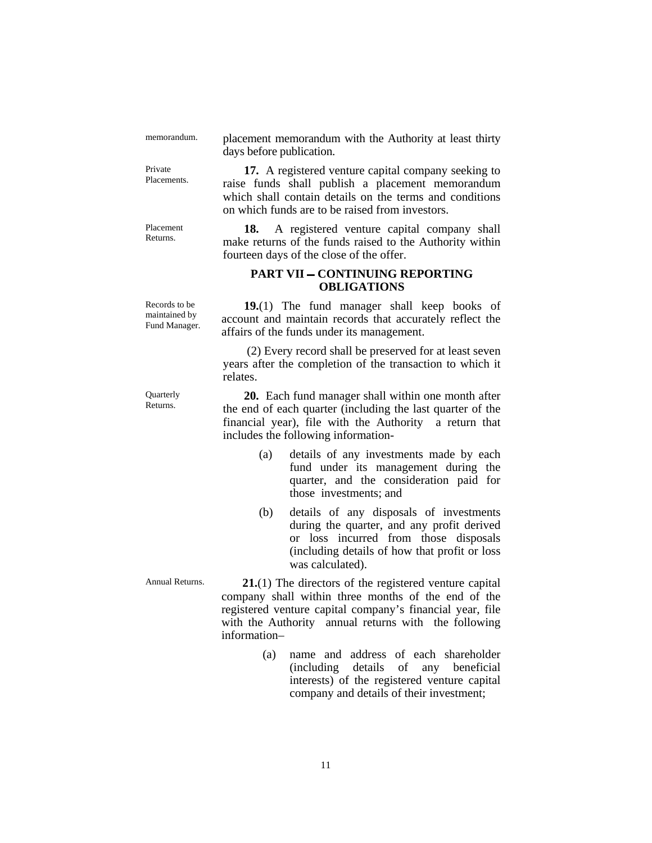Private

Placement

memorandum. placement memorandum with the Authority at least thirty days before publication.

Private **17.** A registered venture capital company seeking to Placements. raise funds shall publish a placement memorandum which shall contain details on the terms and conditions on which funds are to be raised from investors.

Placement **18.** A registered venture capital company shall make returns of the funds raised to the Authority within fourteen days of the close of the offer.

### **PART VII - CONTINUING REPORTING OBLIGATIONS**

affairs of the funds under its management.

includes the following information-

 **19.**(1) The fund manager shall keep books of account and maintain records that accurately reflect the

 (2) Every record shall be preserved for at least seven years after the completion of the transaction to which it

Records to be maintained by Fund Manager.

Quarterly<br>Returns.

relates. **20.** Each fund manager shall within one month after the end of each quarter (including the last quarter of the financial year), file with the Authority a return that

- (a) details of any investments made by each fund under its management during the quarter, and the consideration paid for those investments; and
- (b) details of any disposals of investments during the quarter, and any profit derived or loss incurred from those disposals (including details of how that profit or loss was calculated).

Annual Returns. **21.**(1) The directors of the registered venture capital company shall within three months of the end of the registered venture capital company's financial year, file with the Authority annual returns with the following information–

> (a) name and address of each shareholder (including details of any beneficial interests) of the registered venture capital company and details of their investment;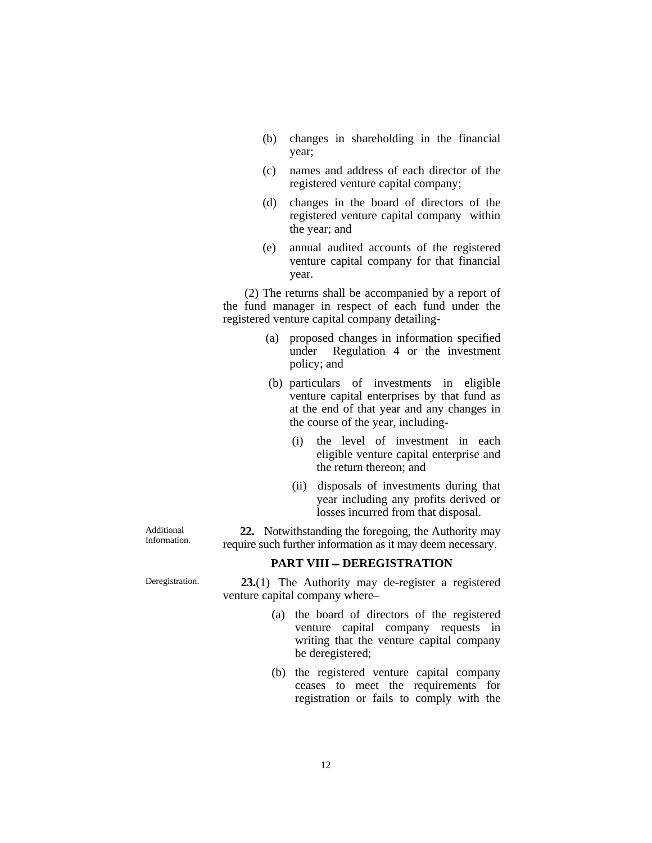- (b) changes in shareholding in the financial year;
- (c) names and address of each director of the registered venture capital company;
- (d) changes in the board of directors of the registered venture capital company within the year; and
- (e) annual audited accounts of the registered venture capital company for that financial year.

(2) The returns shall be accompanied by a report of the fund manager in respect of each fund under the registered venture capital company detailing-

- (a) proposed changes in information specified under Regulation 4 or the investment policy; and
- (b) particulars of investments in eligible venture capital enterprises by that fund as at the end of that year and any changes in the course of the year, including-
	- (i) the level of investment in each eligible venture capital enterprise and the return thereon; and
	- (ii) disposals of investments during that year including any profits derived or losses incurred from that disposal.

Additional

Additional **22.** Notwithstanding the foregoing, the Authority may<br>Information. require such further information as it may deem necessary.

## **PART VIII - DEREGISTRATION**

Deregistration. **23.**(1) The Authority may de-register a registered venture capital company where–

- (a) the board of directors of the registered venture capital company requests in writing that the venture capital company be deregistered;
- (b) the registered venture capital company ceases to meet the requirements for registration or fails to comply with the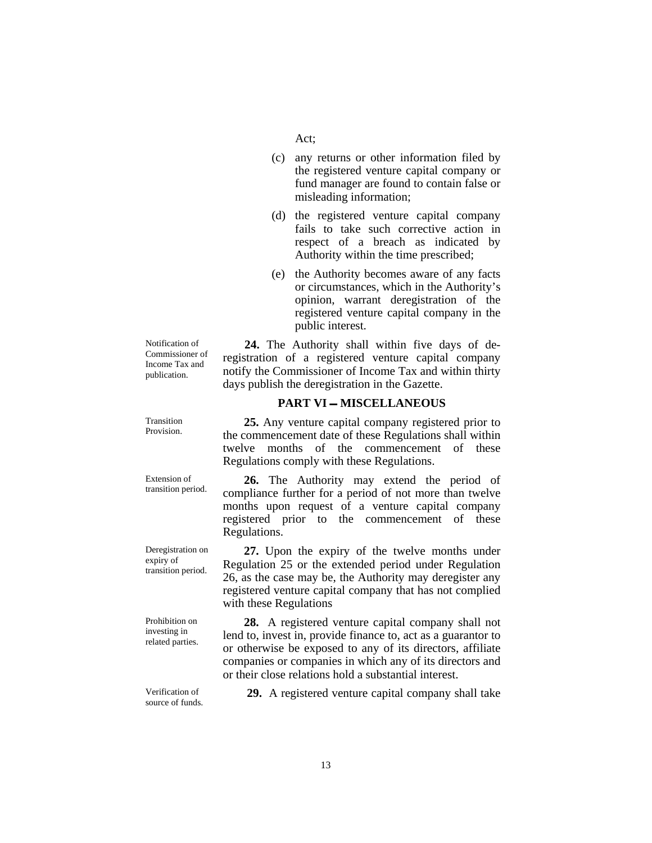- (c) any returns or other information filed by the registered venture capital company or fund manager are found to contain false or misleading information;
- (d) the registered venture capital company fails to take such corrective action in respect of a breach as indicated by Authority within the time prescribed;
- (e) the Authority becomes aware of any facts or circumstances, which in the Authority's opinion, warrant deregistration of the registered venture capital company in the public interest.

**24.** The Authority shall within five days of deregistration of a registered venture capital company notify the Commissioner of Income Tax and within thirty days publish the deregistration in the Gazette.

#### **PART VI - MISCELLANEOUS**

Provision. **25.** Any venture capital company registered prior to the commencement date of these Regulations shall within twelve months of the commencement of these Regulations comply with these Regulations.

Extension of **26.** The Authority may extend the period of transition period. compliance further for a period of not more than twolve compliance further for a period of not more than twelve months upon request of a venture capital company registered prior to the commencement of these Regulations.

> **27.** Upon the expiry of the twelve months under Regulation 25 or the extended period under Regulation 26, as the case may be, the Authority may deregister any registered venture capital company that has not complied with these Regulations

 **28.** A registered venture capital company shall not lend to, invest in, provide finance to, act as a guarantor to or otherwise be exposed to any of its directors, affiliate companies or companies in which any of its directors and or their close relations hold a substantial interest.

Verification of<br>source of funds.

**29.** A registered venture capital company shall take

Notification of Commissioner of Income Tax and publication.

Transition

Extension of

Deregistration on expiry of transition period.

Prohibition on investing in related parties.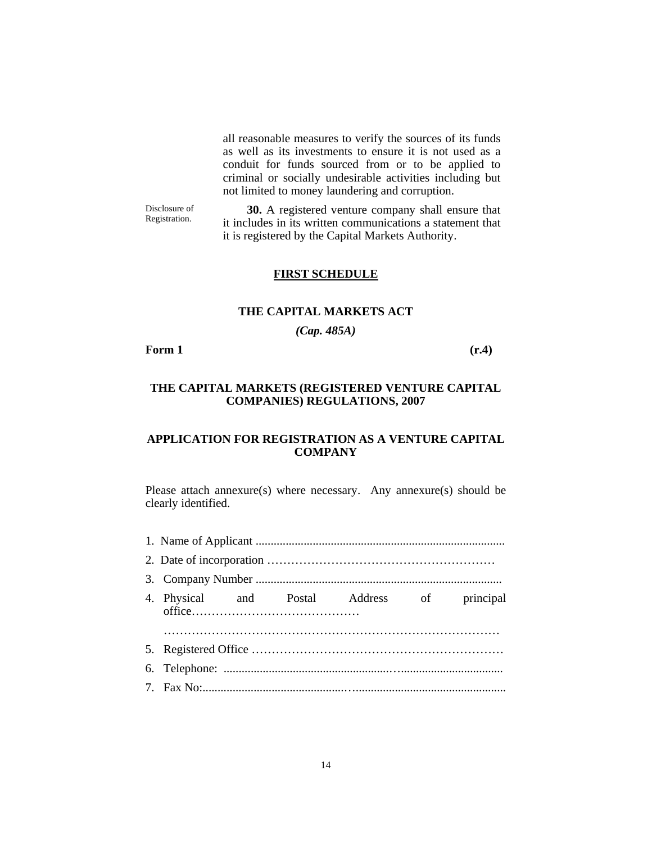all reasonable measures to verify the sources of its funds as well as its investments to ensure it is not used as a conduit for funds sourced from or to be applied to criminal or socially undesirable activities including but not limited to money laundering and corruption.

Disclosure of Disclosure of **30.** A registered venture company shall ensure that Registration. **31.** A registered venture company shall ensure that it includes in its written communications a statement that it is registered by the Capital Markets Authority.

#### **FIRST SCHEDULE**

#### **THE CAPITAL MARKETS ACT**

*(Cap. 485A)* 

**Form 1** (r.4)

### **THE CAPITAL MARKETS (REGISTERED VENTURE CAPITAL COMPANIES) REGULATIONS, 2007**

## **APPLICATION FOR REGISTRATION AS A VENTURE CAPITAL COMPANY**

Please attach annexure(s) where necessary. Any annexure(s) should be clearly identified.

|  |  |  | 4. Physical and Postal Address of principal |  |
|--|--|--|---------------------------------------------|--|
|  |  |  |                                             |  |
|  |  |  |                                             |  |
|  |  |  |                                             |  |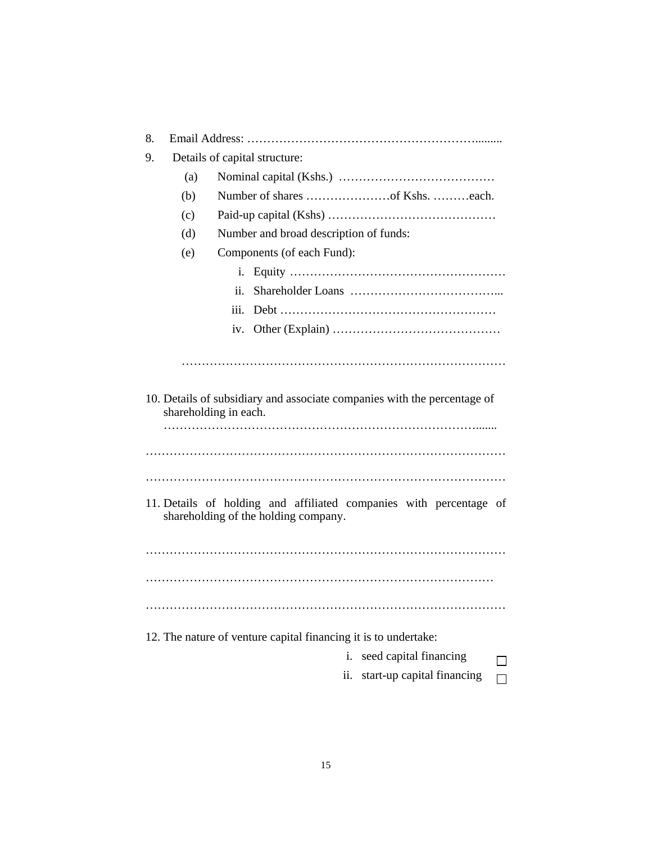| 8.                                                                                                         |                               |                                        |  |
|------------------------------------------------------------------------------------------------------------|-------------------------------|----------------------------------------|--|
| 9.                                                                                                         | Details of capital structure: |                                        |  |
|                                                                                                            | (a)                           |                                        |  |
|                                                                                                            | (b)                           |                                        |  |
|                                                                                                            | (c)                           |                                        |  |
|                                                                                                            | (d)                           | Number and broad description of funds: |  |
|                                                                                                            | (e)                           | Components (of each Fund):             |  |
|                                                                                                            |                               | i.                                     |  |
|                                                                                                            |                               | ii.                                    |  |
|                                                                                                            |                               | iii.                                   |  |
|                                                                                                            |                               |                                        |  |
|                                                                                                            |                               |                                        |  |
|                                                                                                            |                               |                                        |  |
| 10. Details of subsidiary and associate companies with the percentage of<br>shareholding in each.          |                               |                                        |  |
|                                                                                                            |                               |                                        |  |
|                                                                                                            |                               |                                        |  |
|                                                                                                            |                               |                                        |  |
| 11. Details of holding and affiliated companies with percentage of<br>shareholding of the holding company. |                               |                                        |  |
|                                                                                                            |                               |                                        |  |
|                                                                                                            |                               |                                        |  |
|                                                                                                            |                               |                                        |  |
|                                                                                                            |                               |                                        |  |
| 12. The nature of venture capital financing it is to undertake:                                            |                               |                                        |  |
|                                                                                                            |                               | seed capital financing<br>i.           |  |
|                                                                                                            |                               | start-up capital financing<br>ii.<br>П |  |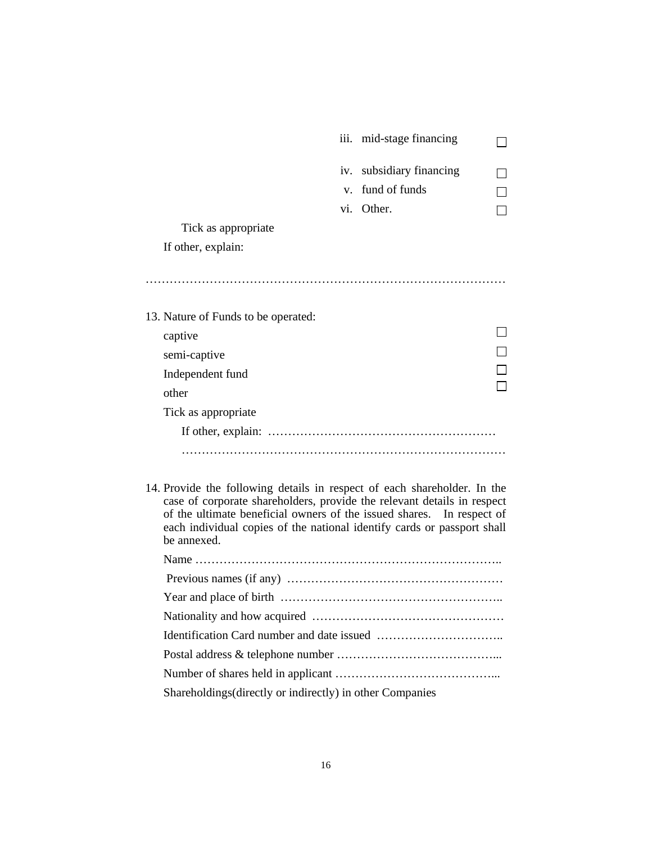| v. fund of funds |                                                      |
|------------------|------------------------------------------------------|
| vi. Other.       |                                                      |
|                  |                                                      |
|                  |                                                      |
|                  |                                                      |
|                  |                                                      |
|                  |                                                      |
|                  |                                                      |
|                  |                                                      |
|                  |                                                      |
|                  |                                                      |
|                  |                                                      |
|                  |                                                      |
|                  |                                                      |
|                  |                                                      |
|                  | iii. mid-stage financing<br>iv. subsidiary financing |

14. Provide the following details in respect of each shareholder. In the case of corporate shareholders, provide the relevant details in respect of the ultimate beneficial owners of the issued shares. In respect of each individual copies of the national identify cards or passport shall be annexed.

| Shareholdings (directly or indirectly) in other Companies |  |  |
|-----------------------------------------------------------|--|--|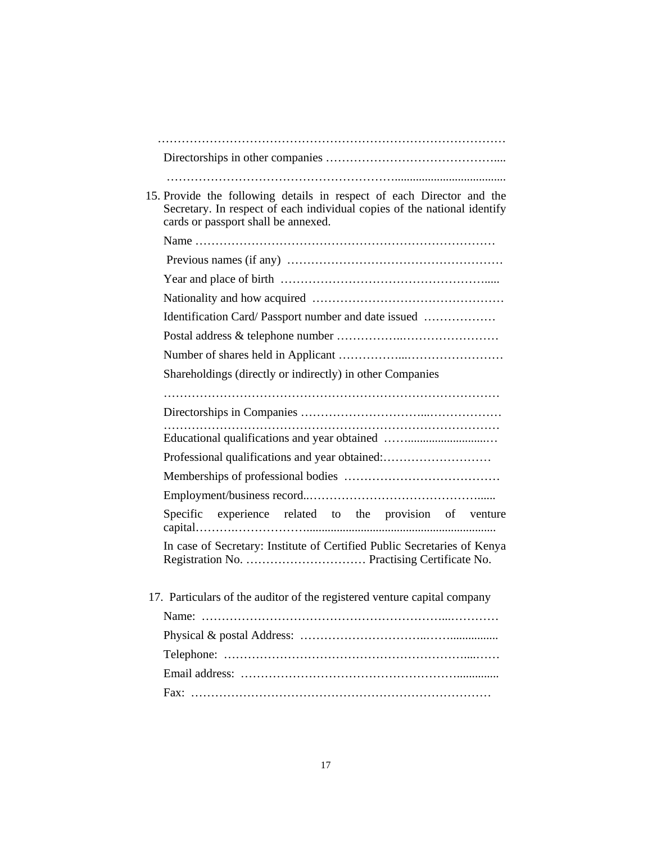| 15. Provide the following details in respect of each Director and the<br>Secretary. In respect of each individual copies of the national identify<br>cards or passport shall be annexed. |
|------------------------------------------------------------------------------------------------------------------------------------------------------------------------------------------|
|                                                                                                                                                                                          |
|                                                                                                                                                                                          |
|                                                                                                                                                                                          |
|                                                                                                                                                                                          |
| Identification Card/Passport number and date issued                                                                                                                                      |
|                                                                                                                                                                                          |
|                                                                                                                                                                                          |
| Shareholdings (directly or indirectly) in other Companies                                                                                                                                |
|                                                                                                                                                                                          |
|                                                                                                                                                                                          |
|                                                                                                                                                                                          |
| Professional qualifications and year obtained:                                                                                                                                           |
|                                                                                                                                                                                          |
|                                                                                                                                                                                          |
| Specific experience related to the provision of venture                                                                                                                                  |
| In case of Secretary: Institute of Certified Public Secretaries of Kenya                                                                                                                 |
| 17. Particulars of the auditor of the registered venture capital company                                                                                                                 |
|                                                                                                                                                                                          |
|                                                                                                                                                                                          |
|                                                                                                                                                                                          |
|                                                                                                                                                                                          |
|                                                                                                                                                                                          |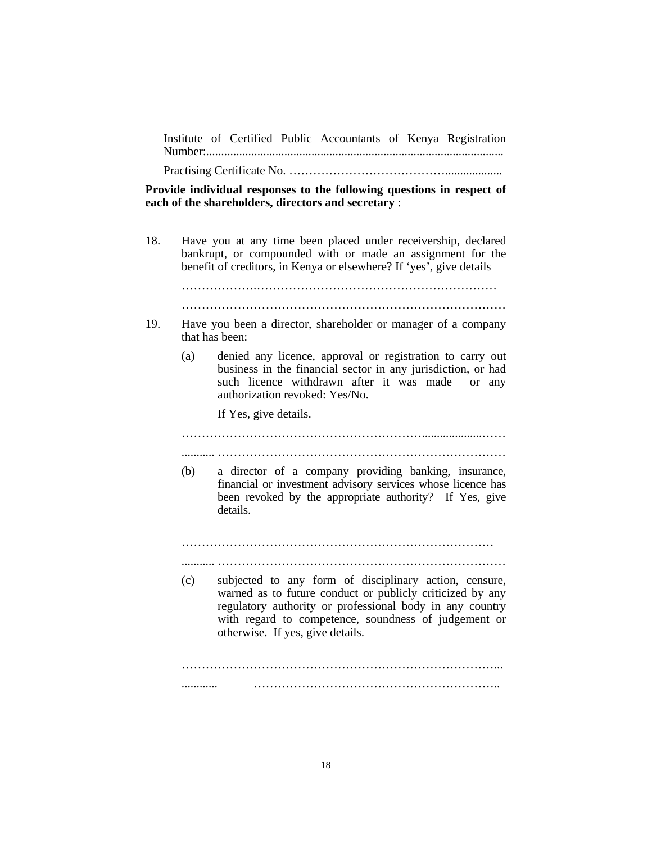Institute of Certified Public Accountants of Kenya Registration Number:...................................................................................................

Practising Certificate No. …………………………………...................

**Provide individual responses to the following questions in respect of each of the shareholders, directors and secretary** :

18. Have you at any time been placed under receivership, declared bankrupt, or compounded with or made an assignment for the benefit of creditors, in Kenya or elsewhere? If 'yes', give details

……………….…………………………………………………… ………………………………………………………………………

- 19. Have you been a director, shareholder or manager of a company that has been:
	- (a) denied any licence, approval or registration to carry out business in the financial sector in any jurisdiction, or had such licence withdrawn after it was made or any authorization revoked: Yes/No.

If Yes, give details.

 ……………………………………………………....................…… ........... ………………………………………………………………

(b) a director of a company providing banking, insurance, financial or investment advisory services whose licence has been revoked by the appropriate authority? If Yes, give details.

 …………………………………………………………………… ........... ………………………………………………………………

(c) subjected to any form of disciplinary action, censure, warned as to future conduct or publicly criticized by any regulatory authority or professional body in any country with regard to competence, soundness of judgement or otherwise. If yes, give details.

 ……………………………………………………………………... ............ ……………………………………………………..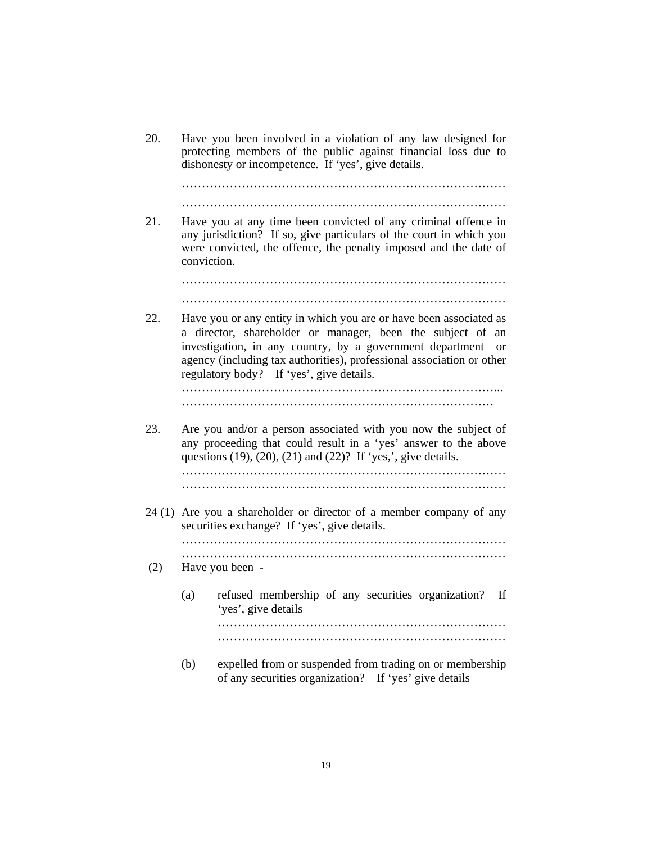20. Have you been involved in a violation of any law designed for protecting members of the public against financial loss due to dishonesty or incompetence. If 'yes', give details.

 ……………………………………………………………………… ………………………………………………………………………

21. Have you at any time been convicted of any criminal offence in any jurisdiction? If so, give particulars of the court in which you were convicted, the offence, the penalty imposed and the date of conviction.

> ……………………………………………………………………… ………………………………………………………………………

22. Have you or any entity in which you are or have been associated as a director, shareholder or manager, been the subject of an investigation, in any country, by a government department or agency (including tax authorities), professional association or other regulatory body? If 'yes', give details. ……………………………………………………………………...

……………………………………………………………………

23. Are you and/or a person associated with you now the subject of any proceeding that could result in a 'yes' answer to the above questions  $(19)$ ,  $(20)$ ,  $(21)$  and  $(22)$ ? If 'yes,', give details. ………………………………………………………………………

………………………………………………………………………

24 (1) Are you a shareholder or director of a member company of any securities exchange? If 'yes', give details. ………………………………………………………………………

………………………………………………………………………

- (2) Have you been
	- (a) refused membership of any securities organization? If 'yes', give details ……………………………………………………………… ………………………………………………………………
	- (b) expelled from or suspended from trading on or membership of any securities organization? If 'yes' give details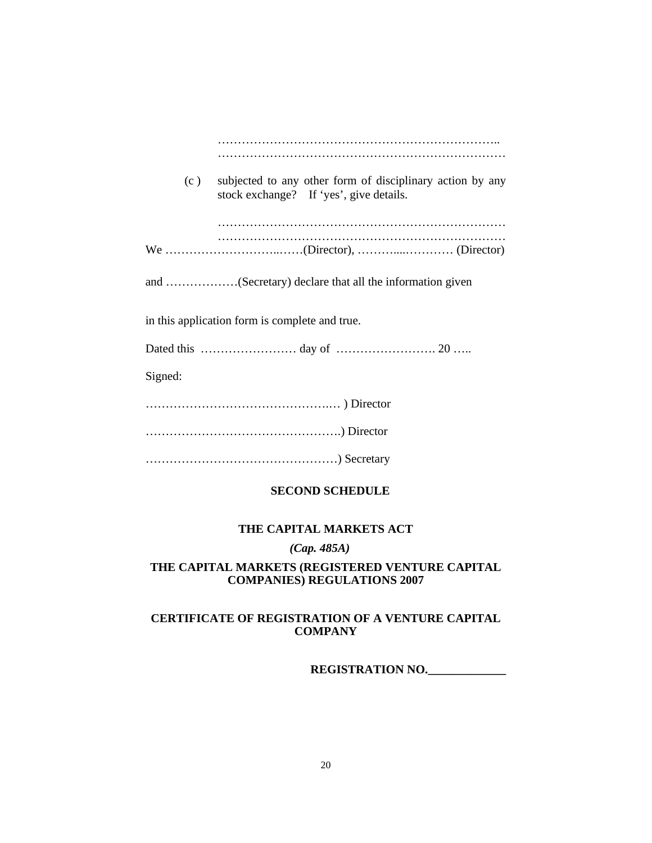| (c)                                            | subjected to any other form of disciplinary action by any<br>stock exchange? If 'yes', give details. |  |  |
|------------------------------------------------|------------------------------------------------------------------------------------------------------|--|--|
|                                                |                                                                                                      |  |  |
|                                                |                                                                                                      |  |  |
|                                                | and (Secretary) declare that all the information given                                               |  |  |
| in this application form is complete and true. |                                                                                                      |  |  |
|                                                |                                                                                                      |  |  |
| Signed:                                        |                                                                                                      |  |  |
|                                                |                                                                                                      |  |  |
|                                                |                                                                                                      |  |  |
|                                                |                                                                                                      |  |  |

## **SECOND SCHEDULE**

## **THE CAPITAL MARKETS ACT**

*(Cap. 485A)* 

## **THE CAPITAL MARKETS (REGISTERED VENTURE CAPITAL COMPANIES) REGULATIONS 2007**

## **CERTIFICATE OF REGISTRATION OF A VENTURE CAPITAL COMPANY**

**REGISTRATION NO.\_\_\_\_\_\_\_\_\_\_\_\_\_**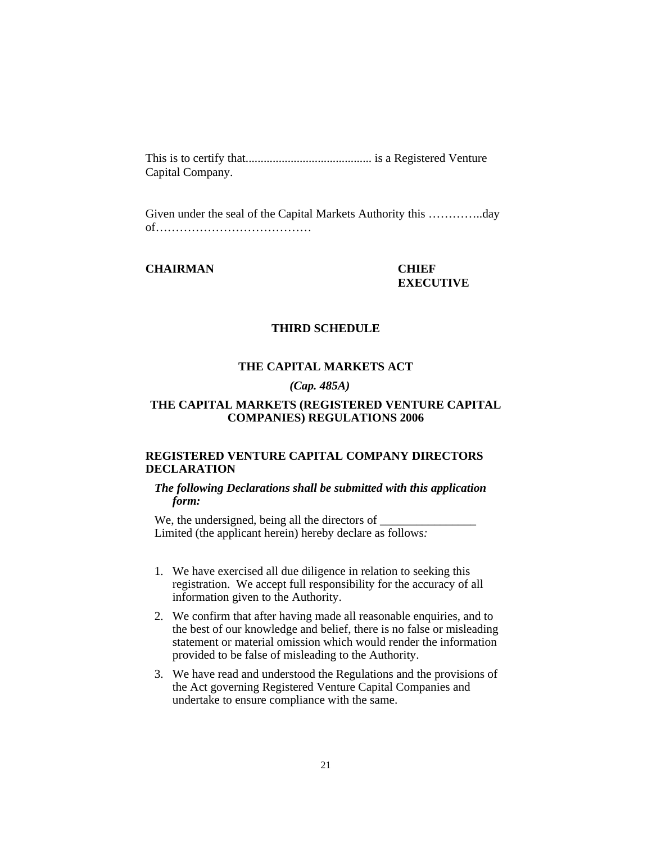This is to certify that.......................................... is a Registered Venture Capital Company.

Given under the seal of the Capital Markets Authority this …………..day of…………………………………

### **CHAIRMAN CHIEF**

# **EXECUTIVE**

#### **THIRD SCHEDULE**

## **THE CAPITAL MARKETS ACT**

### *(Cap. 485A)*

## **THE CAPITAL MARKETS (REGISTERED VENTURE CAPITAL COMPANIES) REGULATIONS 2006**

## **REGISTERED VENTURE CAPITAL COMPANY DIRECTORS DECLARATION**

#### *The following Declarations shall be submitted with this application form:*

We, the undersigned, being all the directors of  $\_\_$ Limited (the applicant herein) hereby declare as follows*:* 

- 1. We have exercised all due diligence in relation to seeking this registration. We accept full responsibility for the accuracy of all information given to the Authority.
- 2. We confirm that after having made all reasonable enquiries, and to the best of our knowledge and belief, there is no false or misleading statement or material omission which would render the information provided to be false of misleading to the Authority.
- 3. We have read and understood the Regulations and the provisions of the Act governing Registered Venture Capital Companies and undertake to ensure compliance with the same.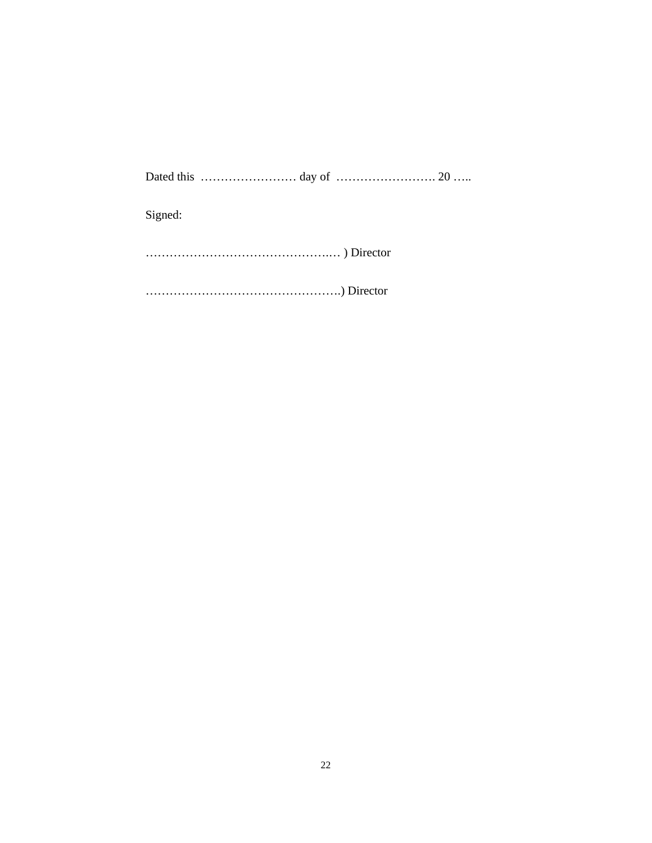Dated this …………………… day of ……………………. 20 …..

Signed:

……………………………………….… ) Director

………………………………………….) Director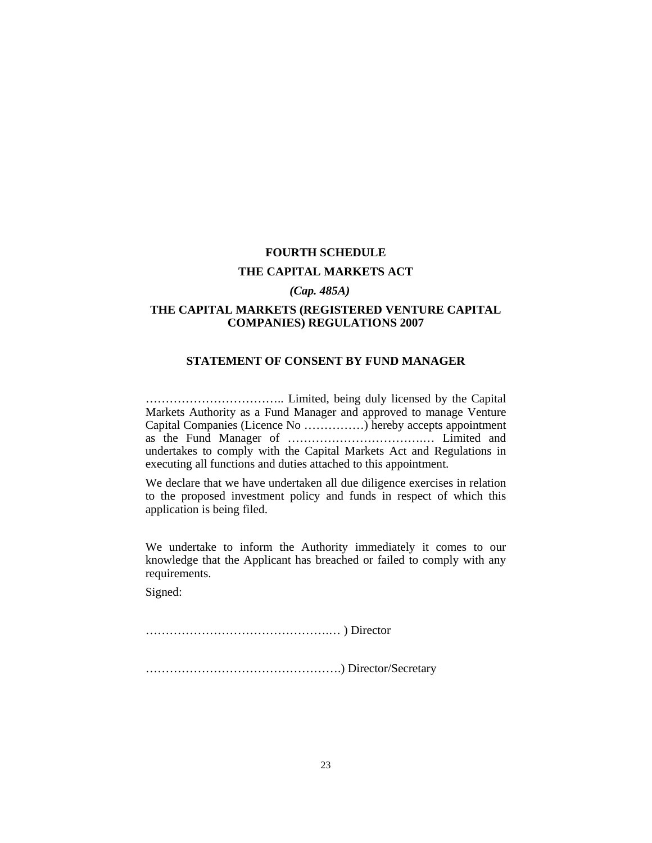## **FOURTH SCHEDULE THE CAPITAL MARKETS ACT**

#### *(Cap. 485A)*

## **THE CAPITAL MARKETS (REGISTERED VENTURE CAPITAL COMPANIES) REGULATIONS 2007**

#### **STATEMENT OF CONSENT BY FUND MANAGER**

…………………………….. Limited, being duly licensed by the Capital Markets Authority as a Fund Manager and approved to manage Venture Capital Companies (Licence No ……………) hereby accepts appointment as the Fund Manager of …………………………….… Limited and undertakes to comply with the Capital Markets Act and Regulations in executing all functions and duties attached to this appointment.

We declare that we have undertaken all due diligence exercises in relation to the proposed investment policy and funds in respect of which this application is being filed.

We undertake to inform the Authority immediately it comes to our knowledge that the Applicant has breached or failed to comply with any requirements.

Signed:

……………………………………….… ) Director

………………………………………….) Director/Secretary